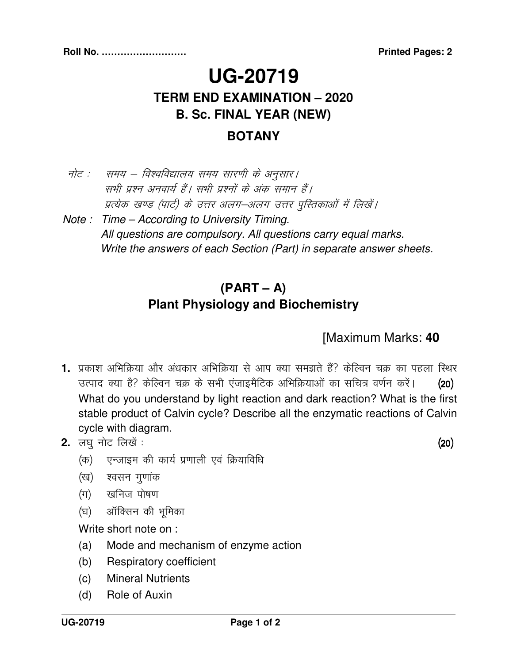# **UG-20719 TERM END EXAMINATION – 2020 B. Sc. FINAL YEAR (NEW) BOTANY**

### नोट : समय – विश्वविद्यालय समय सारणी के अनुसार। सभी प्रश्न अनवार्य हैं। सभी प्रश्नों के अंक समान हैं। प्रत्येक खण्ड (पार्ट) के उत्तर अलग–अलग उत्तर पुस्तिकाओं में लिखें।

 Note : Time – According to University Timing. All questions are compulsory. All questions carry equal marks. Write the answers of each Section (Part) in separate answer sheets.

### **(PART – A) Plant Physiology and Biochemistry**

#### [Maximum Marks: **40**

- **1.** प्रकाश अभिक्रिया और अंधकार अभिक्रिया से आप क्या समझते हैं? केल्विन चक्र का पहला स्थिर उत्पाद क्या है? केल्विन चक्र के सभी एंजाइमैटिक अभिक्रियाओं का सचित्र वर्णन करें। (20) What do you understand by light reaction and dark reaction? What is the first stable product of Calvin cycle? Describe all the enzymatic reactions of Calvin cycle with diagram.
- **2.** y?kq uksV fy[ksa % ¼20½
	- (क) एन्जाइम की कार्य प्रणाली एवं क्रियाविधि
	- (ख) श्वसन गुणांक
	- (ग) खनिज पोषण
	- (घ) ऑक्सिन की भूमिका

Write short note on :

- (a) Mode and mechanism of enzyme action
- (b) Respiratory coefficient
- (c) Mineral Nutrients
- (d) Role of Auxin